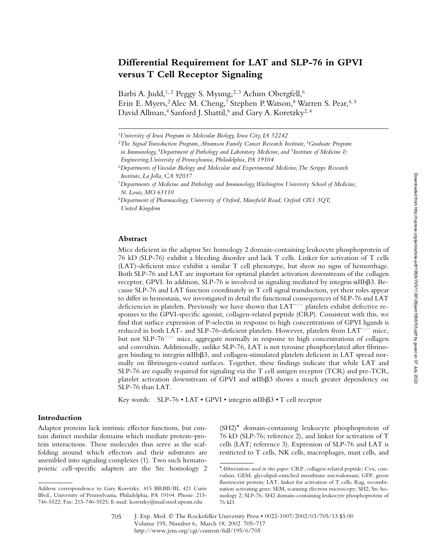# **Differential Requirement for LAT and SLP-76 in GPVI versus T Cell Receptor Signaling**

Barbi A. Judd,<sup>1,2</sup> Peggy S. Myung,<sup>2,3</sup> Achim Obergfell,<sup>6</sup> Erin E. Myers,<sup>2</sup> Alec M. Cheng,<sup>7</sup> Stephen P. Watson,<sup>8</sup> Warren S. Pear,<sup>4,5</sup> David Allman,<sup>4</sup> Sanford J. Shattil,<sup>6</sup> and Gary A. Koretzky<sup>2, 4</sup>

#### **Abstract**

Mice deficient in the adaptor Src homology 2 domain-containing leukocyte phosphoprotein of 76 kD (SLP-76) exhibit a bleeding disorder and lack T cells. Linker for activation of T cells (LAT)-deficient mice exhibit a similar T cell phenotype, but show no signs of hemorrhage. Both SLP-76 and LAT are important for optimal platelet activation downstream of the collagen receptor, GPVI. In addition, SLP-76 is involved in signaling mediated by integrin  $\alpha$ IIb $\beta$ 3. Because SLP-76 and LAT function coordinately in T cell signal transduction, yet their roles appear to differ in hemostasis, we investigated in detail the functional consequences of SLP-76 and LAT deficiencies in platelets. Previously we have shown that  $LAT^{-/-}$  platelets exhibit defective responses to the GPVI-specific agonist, collagen-related peptide (CRP). Consistent with this, we find that surface expression of P-selectin in response to high concentrations of GPVI ligands is reduced in both LAT- and SLP-76–deficient platelets. However, platelets from  $LAT^{-/-}$  mice, but not  $SLP-76^{-/-}$  mice, aggregate normally in response to high concentrations of collagen and convulxin. Additionally, unlike SLP-76, LAT is not tyrosine phosphorylated after fibrinogen binding to integrin  $\alpha$ IIb $\beta$ 3, and collagen-stimulated platelets deficient in LAT spread normally on fibrinogen-coated surfaces. Together, these findings indicate that while LAT and SLP-76 are equally required for signaling via the T cell antigen receptor (TCR) and pre-TCR, platelet activation downstream of GPVI and  $\alpha$ IIb $\beta$ 3 shows a much greater dependency on SLP-76 than LAT.

Key words: SLP-76 • LAT • GPVI • integrin  $\alpha$ IIb $\beta$ 3 • T cell receptor

# **Introduction**

Adaptor proteins lack intrinsic effector functions, but contain distinct modular domains which mediate protein–protein interactions. These molecules thus serve as the scaffolding around which effectors and their substrates are assembled into signaling complexes (1). Two such hematopoietic cell–specific adapters are the Src homology 2

(SH2)\* domain-containing leukocyte phosphoprotein of 76 kD (SLP-76; reference 2), and linker for activation of T cells (LAT; reference 3). Expression of SLP-76 and LAT is restricted to T cells, NK cells, macrophages, mast cells, and

<sup>1</sup>*University of Iowa Program in Molecular Biology, Iowa City, IA 52242*

<sup>&</sup>lt;sup>2</sup>The Signal Transduction Program, Abramson Family Cancer Research Institute, <sup>3</sup>Graduate Program *in Immunology,* <sup>4</sup>Department of Pathology and Laboratory Medicine, and <sup>5</sup>Institute of Medicine &

*Engineering,University of Pennsylvania, Philadelphia, PA 19104*

<sup>6</sup>*Departments of Vascular Biology and Molecular and Experimental Medicine, The Scripps Research Institute, La Jolla, CA 92037*

<sup>7</sup>*Departments of Medicine and Pathology and Immunology, Washington University School of Medicine, St. Louis, MO 63110*

<sup>8</sup>*Department of Pharmacology, University of Oxford, Mansfield Road, Oxford OX1 3QT, United Kingdom*

Address correspondence to Gary Koretzky, 415 BRBII/III, 421 Curie Blvd., University of Pennsylvania, Philadelphia, PA 19104. Phone: 215- 746-5522; Fax: 215-746-5525; E-mail: koretzky@mail.med.upenn.edu

<sup>\*</sup>*Abbreviations used in this paper:* CRP, collagen-related peptide; Cvx, convulxin; GEM, glycolipid-enriched membrane microdomain; GFP, green fluorescent protein; LAT, linker for activation of T cells; Rag, recombination activating gene; SEM, scanning electron microscopy; SH2, Src homology 2; SLP-76, SH2 domain-containing leukocyte phosphoprotein of 76 kD.

J. Exp. Med. © The Rockefeller University Press • 0022-1007/2002/03/705/13 \$5.00 Volume 195, Number 6, March 18, 2002 705–717 http://www.jem.org/cgi/content/full/195/6/705 705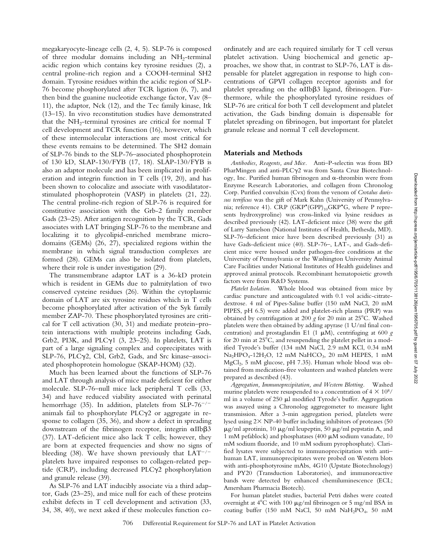megakaryocyte-lineage cells (2, 4, 5). SLP-76 is composed of three modular domains including an  $NH<sub>2</sub>$ -terminal acidic region which contains key tyrosine residues (2), a central proline-rich region and a COOH-terminal SH2 domain. Tyrosine residues within the acidic region of SLP-76 become phosphorylated after TCR ligation (6, 7), and then bind the guanine nucleotide exchange factor, Vav (8– 11), the adaptor, Nck (12), and the Tec family kinase, Itk (13–15). In vivo reconstitution studies have demonstrated that the  $NH<sub>2</sub>$ -terminal tyrosines are critical for normal T cell development and TCR function (16), however, which of these intermolecular interactions are most critical for these events remains to be determined. The SH2 domain of SLP-76 binds to the SLP-76–associated phosphoprotein of 130 kD, SLAP-130/FYB (17, 18). SLAP-130/FYB is also an adaptor molecule and has been implicated in proliferation and integrin function in T cells (19, 20), and has been shown to colocalize and associate with vasodilatatorstimulated phosphoprotein (VASP) in platelets (21, 22). The central proline-rich region of SLP-76 is required for constitutive association with the Grb-2 family member Gads (23–25). After antigen recognition by the TCR, Gads associates with LAT bringing SLP-76 to the membrane and localizing it to glycolipid-enriched membrane microdomains (GEMs) (26, 27), specialized regions within the membrane in which signal transduction complexes are formed (28). GEMs can also be isolated from platelets, where their role is under investigation (29).

The transmembrane adaptor LAT is a 36-kD protein which is resident in GEMs due to palmitylation of two conserved cysteine residues (26). Within the cytoplasmic domain of LAT are six tyrosine residues which in T cells become phosphorylated after activation of the Syk family member ZAP-70. These phosphorylated tyrosines are critical for T cell activation (30, 31) and mediate protein–protein interactions with multiple proteins including Gads, Grb2, PI3K, and PLC $\gamma$ 1 (3, 23–25). In platelets, LAT is part of a large signaling complex and coprecipitates with SLP-76, PLC $\gamma$ 2, Cbl, Grb2, Gads, and Src kinase-associated phosphoprotein homologue (SKAP-HOM) (32).

Much has been learned about the functions of SLP-76 and LAT through analysis of mice made deficient for either molecule. SLP-76–null mice lack peripheral T cells (33, 34) and have reduced viability associated with perinatal hemorrhage (35). In addition, platelets from  $SLP-76^{-/-}$ animals fail to phosphorylate  $PLC\gamma2$  or aggregate in response to collagen (35, 36), and show a defect in spreading downstream of the fibrinogen receptor, integrin  $\alpha$ IIb $\beta$ 3 (37). LAT-deficient mice also lack T cells; however, they are born at expected frequencies and show no signs of bleeding (38). We have shown previously that  $LAT^{-/-}$ platelets have impaired responses to collagen-related peptide (CRP), including decreased  $PLCy2$  phosphorylation and granule release (39).

As SLP-76 and LAT inducibly associate via a third adaptor, Gads (23–25), and mice null for each of these proteins exhibit defects in T cell development and activation (33, 34, 38, 40), we next asked if these molecules function coordinately and are each required similarly for T cell versus platelet activation. Using biochemical and genetic approaches, we show that, in contrast to SLP-76, LAT is dispensable for platelet aggregation in response to high concentrations of GPVI collagen receptor agonists and for platelet spreading on the  $\alpha$ IIb $\beta$ 3 ligand, fibrinogen. Furthermore, while the phosphorylated tyrosine residues of SLP-76 are critical for both T cell development and platelet activation, the Gads binding domain is dispensable for platelet spreading on fibrinogen, but important for platelet granule release and normal T cell development.

### **Materials and Methods**

*Antibodies, Reagents, and Mice.* Anti–P-selectin was from BD PharMingen and anti-PLC $\gamma$ 2 was from Santa Cruz Biotechnology, Inc. Purified human fibrinogen and  $\alpha$ -thrombin were from Enzyme Research Laboratories, and collagen from Chronolog Corp. Purified convulxin (Cvx) from the venom of *Crotalus durissus terrificus* was the gift of Mark Kahn (University of Pennsylvania; reference 41). CRP  $(GKP<sup>*</sup>(GPP)<sub>10</sub> GKP<sup>*</sup>G,$  where P represents hydroxyproline) was cross-linked via lysine residues as described previously (42). LAT-deficient mice (38) were the gift of Larry Samelson (National Institutes of Health, Bethesda, MD). SLP-76–deficient mice have been described previously (31) as have Gads-deficient mice (40). SLP-76–, LAT-, and Gads-deficient mice were housed under pathogen-free conditions at the University of Pennsylvania or the Washington University Animal Care Facilities under National Institutes of Health guidelines and approved animal protocols. Recombinant hematopoietic growth factors were from R&D Systems.

*Platelet Isolation.* Whole blood was obtained from mice by cardiac puncture and anticoagulated with 0.1 vol acidic-citratedextrose. 4 ml of Pipes-Saline buffer (150 mM NaCl, 20 mM PIPES, pH 6.5) were added and platelet-rich plasma (PRP) was obtained by centrifugation at 200 *g* for 20 min at 25°C. Washed platelets were then obtained by adding apyrase (1 U/ml final concentration) and prostaglandin E1 (1  $\mu$ M), centrifuging at 600 *g* for 20 min at 25°C, and resuspending the platelet pellet in a modified Tyrode's buffer (134 mM NaCl, 2.9 mM KCl, 0.34 mM Na<sub>2</sub>HPO<sub>4</sub>-12H<sub>2</sub>O, 12 mM NaHCO<sub>3</sub>, 20 mM HEPES, 1 mM MgCl<sub>2</sub>, 5 mM glucose, pH 7.35). Human whole blood was obtained from medication-free volunteers and washed platelets were prepared as described (43).

*Aggregation, Immunoprecipitation, and Western Blotting.* Washed murine platelets were resuspended to a concentration of  $4 \times 10^8$ / ml in a volume of  $250 \mu l$  modified Tyrode's buffer. Aggregation was assayed using a Chronolog aggregometer to measure light transmission. After a 3-min aggregation period, platelets were lysed using  $2 \times NP-40$  buffer including inhibitors of proteases (50  $\mu$ g/ml aprotinin, 10  $\mu$ g/ml leupeptin, 50  $\mu$ g/ml pepstatin A, and 1 mM pefablock) and phosphatases (400  $\mu$ M sodium vanadate, 10 mM sodium fluoride, and 10 mM sodium pyrophosphate). Clarified lysates were subjected to immunoprecipitation with anti– human LAT, immunoprecipitates were probed on Western blots with anti-phosphotyrosine mAbs, 4G10 (Upstate Biotechnology) and PY20 (Transduction Laboratories), and immunoreactive bands were detected by enhanced chemiluminescence (ECL; Amersham Pharmacia Biotech).

For human platelet studies, bacterial Petri dishes were coated overnight at  $4^{\circ}$ C with 100  $\mu$ g/ml fibrinogen or 5 mg/ml BSA in coating buffer (150 mM NaCl, 50 mM NaH<sub>2</sub>PO<sub>4</sub>, 50 mM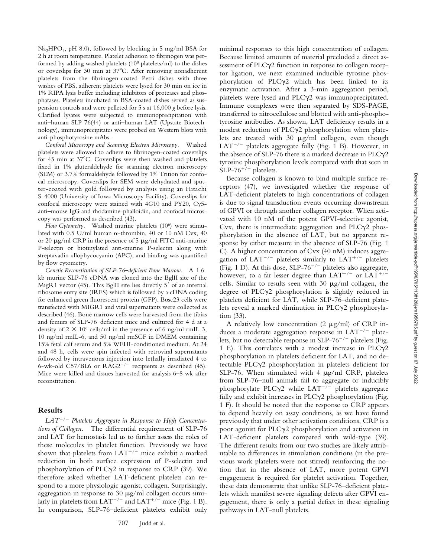$Na<sub>2</sub>HPO<sub>4</sub>$ , pH 8.0), followed by blocking in 5 mg/ml BSA for 2 h at room temperature. Platelet adhesion to fibrinogen was performed by adding washed platelets (108 platelets/ml) to the dishes or coverslips for 30 min at 37°C. After removing nonadherent platelets from the fibrinogen-coated Petri dishes with three washes of PBS, adherent platelets were lysed for 30 min on ice in 1% RIPA lysis buffer including inhibitors of proteases and phosphatases. Platelets incubated in BSA-coated dishes served as suspension controls and were pelleted for 5 s at 16,000 *g* before lysis. Clarified lysates were subjected to immunoprecipitation with anti–human SLP-76(44) or anti–human LAT (Upstate Biotechnology), immunoprecipitates were probed on Western blots with anti-phosphotyrosine mAbs.

*Confocal Microscopy and Scanning Electron Microscopy.* Washed platelets were allowed to adhere to fibrinogen-coated coverslips for 45 min at 37°C. Coverslips were then washed and platelets fixed in 1% gluteraldehyde for scanning electron microscopy (SEM) or 3.7% formaldehyde followed by 1% Trition for confocal microscopy. Coverslips for SEM were dehydrated and sputter-coated with gold followed by analysis using an Hitachi S-4000 (University of Iowa Microscopy Facility). Coverslips for confocal microscopy were stained with 4G10 and PY20, Cy5 anti–mouse IgG and rhodamine-phalloidin, and confocal microscopy was performed as described (43).

*Flow Cytometry.* Washed murine platelets (10<sup>6</sup>) were stimulated with  $0.5$  U/ml human  $\alpha$ -thrombin, 40 or 10 nM Cvx, 40 or 20  $\mu$ g/ml CRP in the presence of 5  $\mu$ g/ml FITC anti-murine P-selectin or biotinylated anti-murine P-selectin along with streptavadin-allophycocyanin (APC), and binding was quantified by flow cytometry.

*Genetic Reconstitution of SLP-76–deficient Bone Marrow.* A 1.6 kb murine SLP-76 cDNA was cloned into the BglII site of the MigR1 vector (45). This BgIII site lies directly 5' of an internal ribosome entry site (IRES) which is followed by a cDNA coding for enhanced green fluorescent protein (GFP). Bosc23 cells were transfected with MIGR1 and viral supernatants were collected as described (46). Bone marrow cells were harvested from the tibias and femurs of SLP-76–deficient mice and cultured for 4 d at a density of  $2 \times 10^6$  cells/ml in the presence of 6 ng/ml rmIL-3, 10 ng/ml rmIL-6, and 50 ng/ml rmSCF in DMEM containing 15% fetal calf serum and 5% WEHI-conditioned medium. At 24 and 48 h, cells were spin infected with retroviral supernatants followed by intravenous injection into lethally irradiated 4 to 6-wk-old C57/BL6 or  $RAG2^{-/-}$  recipients as described (45). Mice were killed and tissues harvested for analysis 6–8 wk after reconstitution.

### **Results**

*LAT/ Platelets Aggregate in Response to High Concentrations of Collagen.* The differential requirement of SLP-76 and LAT for hemostasis led us to further assess the roles of these molecules in platelet function. Previously we have shown that platelets from  $LAT^{-/-}$  mice exhibit a marked reduction in both surface expression of P-selectin and phosphorylation of PLC $\gamma$ 2 in response to CRP (39). We therefore asked whether LAT-deficient platelets can respond to a more physiologic agonist, collagen. Surprisingly, aggregation in response to 30  $\mu$ g/ml collagen occurs similarly in platelets from  $LAT^{-/-}$  and  $LAT^{+/-}$  mice (Fig. 1 B). In comparison, SLP-76–deficient platelets exhibit only

minimal responses to this high concentration of collagen. Because limited amounts of material precluded a direct assessment of PLC $\gamma$ 2 function in response to collagen receptor ligation, we next examined inducible tyrosine phosphorylation of  $PLC\gamma2$  which has been linked to its enzymatic activation. After a 3-min aggregation period, platelets were lysed and  $PLC\gamma2$  was immunoprecipitated. Immune complexes were then separated by SDS-PAGE, transferred to nitrocellulose and blotted with anti-phosphotyrosine antibodies. As shown, LAT deficiency results in a modest reduction of  $PLCy2$  phosphorylation when platelets are treated with 30  $\mu$ g/ml collagen, even though  $LAT^{-/-}$  platelets aggregate fully (Fig. 1 B). However, in the absence of SLP-76 there is a marked decrease in  $PLC\gamma2$ tyrosine phosphorylation levels compared with that seen in SLP-76<sup>+/+</sup> platelets.

Because collagen is known to bind multiple surface receptors (47), we investigated whether the response of LAT-deficient platelets to high concentrations of collagen is due to signal transduction events occurring downstream of GPVI or through another collagen receptor. When activated with 10 nM of the potent GPVI-selective agonist, Cvx, there is intermediate aggregation and  $PLC\gamma2$  phosphorylation in the absence of LAT, but no apparent response by either measure in the absence of SLP-76 (Fig. 1 C). A higher concentration of Cvx (40 nM) induces aggregation of  $LAT^{-/-}$  platelets similarly to  $LAT^{+/-}$  platelets (Fig. 1 D). At this dose, SLP-76<sup>-/-</sup> platelets also aggregate, however, to a far lesser degree than  $LAT^{-/-}$  or  $LAT^{+/-}$ cells. Similar to results seen with 30  $\mu$ g/ml collagen, the degree of PLC $\gamma$ 2 phosphorylation is slightly reduced in platelets deficient for LAT, while SLP-76–deficient platelets reveal a marked diminution in  $PLC\gamma2$  phosphorylation (33).

A relatively low concentration  $(2 \mu g/ml)$  of CRP induces a moderate aggregation response in  $LAT^{-/-}$  platelets, but no detectable response in SLP-76<sup>-/-</sup> platelets (Fig. 1 E). This correlates with a modest increase in  $PLC\gamma2$ phosphorylation in platelets deficient for LAT, and no detectable PLC2 phosphorylation in platelets deficient for SLP-76. When stimulated with 4  $\mu$ g/ml CRP, platelets from SLP-76–null animals fail to aggregate or inducibly phosphorylate PLC $\gamma$ 2 while LAT<sup>-/-</sup> platelets aggregate fully and exhibit increases in  $PLC\gamma2$  phosphorylation (Fig. 1 F). It should be noted that the response to CRP appears to depend heavily on assay conditions, as we have found previously that under other activation conditions, CRP is a poor agonist for PLC $\gamma$ 2 phosphorylation and activation in LAT-deficient platelets compared with wild-type (39). The different results from our two studies are likely attributable to differences in stimulation conditions (in the previous work platelets were not stirred) reinforcing the notion that in the absence of LAT, more potent GPVI engagement is required for platelet activation. Together, these data demonstrate that unlike SLP-76–deficient platelets which manifest severe signaling defects after GPVI engagement, there is only a partial defect in these signaling pathways in LAT-null platelets.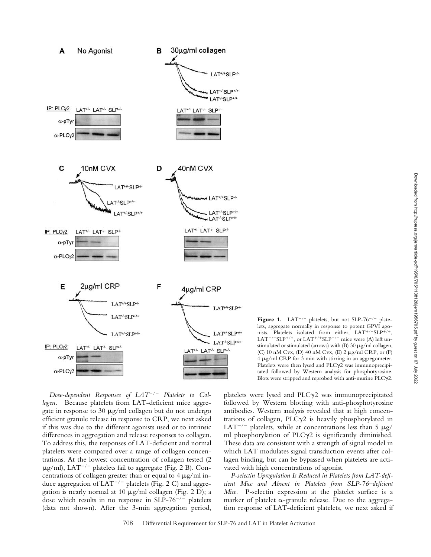

Figure 1.  $LAT^{-/-}$  platelets, but not SLP-76<sup>-/-</sup> platelets, aggregate normally in response to potent GPVI agonists. Platelets isolated from either, LAT<sup>+/-</sup>SLP<sup>+/+</sup>,  $LAT^{-/-}SLP^{+/+}$ , or  $LAT^{+/+}SLP^{-/-}$  mice were (A) left unstimulated or stimulated (arrows) with (B) 30  $\mu$ g/ml collagen, (C) 10 nM Cvx, (D) 40 nM Cvx, (E) 2 µg/ml CRP, or (F) 4 g/ml CRP for 3 min with stirring in an aggregometer. Platelets were then lysed and PLC $\gamma$ 2 was immunoprecipitated followed by Western analysis for phosphotyrosine. Blots were stripped and reprobed with anti-murine PLC $\gamma$ 2.

*Dose-dependent Responses of LAT/ Platelets to Collagen.* Because platelets from LAT-deficient mice aggregate in response to 30  $\mu$ g/ml collagen but do not undergo efficient granule release in response to CRP, we next asked if this was due to the different agonists used or to intrinsic differences in aggregation and release responses to collagen. To address this, the responses of LAT-deficient and normal platelets were compared over a range of collagen concentrations. At the lowest concentration of collagen tested (2  $\mu$ g/ml), LAT<sup>-/-</sup> platelets fail to aggregate (Fig. 2 B). Concentrations of collagen greater than or equal to  $4 \mu g/ml$  induce aggregation of  $LAT^{-/-}$  platelets (Fig. 2 C) and aggregation is nearly normal at 10  $\mu$ g/ml collagen (Fig. 2 D); a dose which results in no response in  $SLP-76^{-/-}$  platelets (data not shown). After the 3-min aggregation period,

platelets were lysed and  $PLC\gamma2$  was immunoprecipitated followed by Western blotting with anti-phosphotyrosine antibodies. Western analysis revealed that at high concentrations of collagen,  $PLC\gamma2$  is heavily phosphorylated in LAT<sup>-/-</sup> platelets, while at concentrations less than 5  $\mu$ g/ ml phosphorylation of  $PLCy2$  is significantly diminished. These data are consistent with a strength of signal model in which LAT modulates signal transduction events after collagen binding, but can be bypassed when platelets are activated with high concentrations of agonist.

*P-selectin Upregulation Is Reduced in Platelets from LAT-deficient Mice and Absent in Platelets from SLP-76–deficient Mice.* P-selectin expression at the platelet surface is a marker of platelet  $\alpha$ -granule release. Due to the aggregation response of LAT-deficient platelets, we next asked if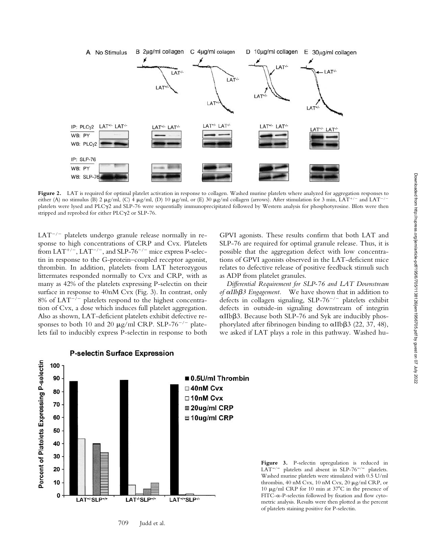

Figure 2. LAT is required for optimal platelet activation in response to collagen. Washed murine platelets where analyzed for aggregation responses to either (A) no stimulus (B)  $2 \mu g/ml$ , (C)  $4 \mu g/ml$ , (D)  $10 \mu g/ml$ , or (E)  $30 \mu g/ml$  collagen (arrows). After stimulation for  $3 \text{ min}$ , LAT<sup>+/-</sup> and LAT<sup>-/-</sup> platelets were lysed and PLCy2 and SLP-76 were sequentially immunoprecipitated followed by Western analysis for phosphotyrosine. Blots were then stripped and reprobed for either PLC $\gamma$ 2 or SLP-76.

 $LAT^{-/-}$  platelets undergo granule release normally in response to high concentrations of CRP and Cvx. Platelets from  $LAT^{+/-}$ ,  $LAT^{-/-}$ , and  $SLP$ -76<sup>-/-</sup> mice express P-selectin in response to the G-protein–coupled receptor agonist, thrombin. In addition, platelets from LAT heterozygous littermates responded normally to Cvx and CRP, with as many as 42% of the platelets expressing P-selectin on their surface in response to 40nM Cvx (Fig. 3). In contrast, only  $8\%$  of LAT<sup>-/-</sup> platelets respond to the highest concentration of Cvx, a dose which induces full platelet aggregation. Also as shown, LAT-deficient platelets exhibit defective responses to both 10 and 20  $\mu$ g/ml CRP. SLP-76<sup>-/-</sup> platelets fail to inducibly express P-selectin in response to both

GPVI agonists. These results confirm that both LAT and SLP-76 are required for optimal granule release. Thus, it is possible that the aggregation defect with low concentrations of GPVI agonists observed in the LAT-deficient mice relates to defective release of positive feedback stimuli such as ADP from platelet granules.

*Differential Requirement for SLP-76 and LAT Downstream of* -*IIb3 Engagement.* We have shown that in addition to defects in collagen signaling,  $SLP-76^{-/-}$  platelets exhibit defects in outside-in signaling downstream of integrin aIIb $\beta$ 3. Because both SLP-76 and Syk are inducibly phosphorylated after fibrinogen binding to  $\alpha$ IIb $\beta$ 3 (22, 37, 48), we asked if LAT plays a role in this pathway. Washed hu-



**P-selectin Surface Expression** 

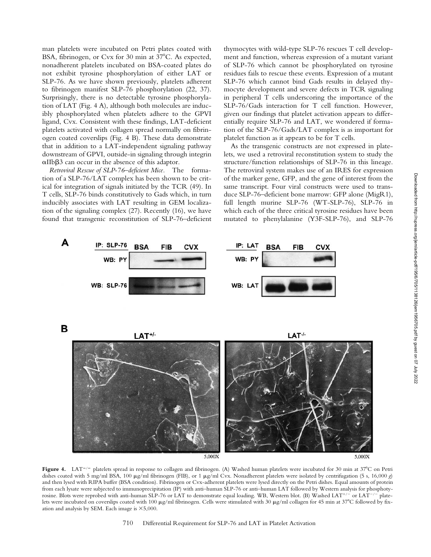man platelets were incubated on Petri plates coated with BSA, fibrinogen, or Cvx for 30 min at 37°C. As expected, nonadherent platelets incubated on BSA-coated plates do not exhibit tyrosine phosphorylation of either LAT or SLP-76. As we have shown previously, platelets adherent to fibrinogen manifest SLP-76 phosphorylation (22, 37). Surprisingly, there is no detectable tyrosine phosphorylation of LAT (Fig. 4 A), although both molecules are inducibly phosphorylated when platelets adhere to the GPVI ligand, Cvx. Consistent with these findings, LAT-deficient platelets activated with collagen spread normally on fibrinogen coated coverslips (Fig. 4 B). These data demonstrate that in addition to a LAT-independent signaling pathway downstream of GPVI, outside-in signaling through integrin  $\alpha$ IIb $\beta$ 3 can occur in the absence of this adaptor.

*Retroviral Rescue of SLP-76–deficient Mice.* The formation of a SLP-76/LAT complex has been shown to be critical for integration of signals initiated by the TCR (49). In T cells, SLP-76 binds constitutively to Gads which, in turn inducibly associates with LAT resulting in GEM localization of the signaling complex (27). Recently (16), we have found that transgenic reconstitution of SLP-76–deficient thymocytes with wild-type SLP-76 rescues T cell development and function, whereas expression of a mutant variant of SLP-76 which cannot be phosphorylated on tyrosine residues fails to rescue these events. Expression of a mutant SLP-76 which cannot bind Gads results in delayed thymocyte development and severe defects in TCR signaling in peripheral T cells underscoring the importance of the SLP-76/Gads interaction for T cell function. However, given our findings that platelet activation appears to differentially require SLP-76 and LAT, we wondered if formation of the SLP-76/Gads/LAT complex is as important for platelet function as it appears to be for T cells.

As the transgenic constructs are not expressed in platelets, we used a retroviral reconstitution system to study the structure/function relationships of SLP-76 in this lineage. The retroviral system makes use of an IRES for expression of the marker gene, GFP, and the gene of interest from the same transcript. Four viral constructs were used to transduce SLP-76–deficient bone marrow: GFP alone (MigR1), full length murine SLP-76 (WT-SLP-76), SLP-76 in which each of the three critical tyrosine residues have been mutated to phenylalanine (Y3F-SLP-76), and SLP-76





5.000X

Figure 4. LAT<sup>-/-</sup> platelets spread in response to collagen and fibrinogen. (A) Washed human platelets were incubated for 30 min at 37°C on Petri dishes coated with 5 mg/ml BSA, 100  $\mu$ g/ml fibrinogen (FIB), or 1  $\mu$ g/ml Cvx. Nonadherent platelets were isolated by centrifugation (5 s, 16,000 *g*) and then lysed with RIPA buffer (BSA condition). Fibrinogen or Cvx-adherent platelets were lysed directly on the Petri dishes. Equal amounts of protein from each lysate were subjected to immunoprecipitation (IP) with anti–human SLP-76 or anti–human LAT followed by Western analysis for phosphotyrosine. Blots were reprobed with anti-human SLP-76 or LAT to demonstrate equal loading. WB, Western blot. (B) Washed LAT+/- or LAT-/- platelets were incubated on coverslips coated with 100  $\mu$ g/ml fibrinogen. Cells were stimulated with 30  $\mu$ g/ml collagen for 45 min at 37°C followed by fixation and analysis by SEM. Each image is  $\times$  5,000.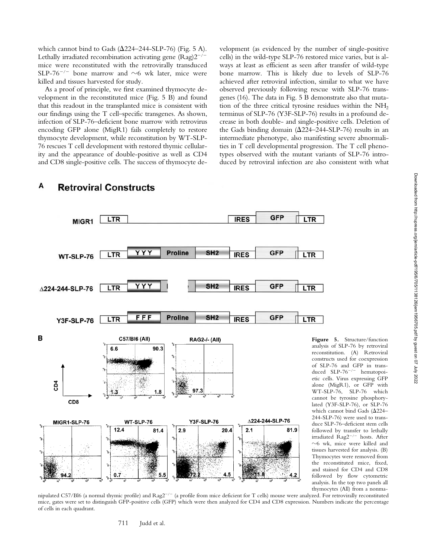which cannot bind to Gads  $(\Delta 224 - 244 - SLP - 76)$  (Fig. 5 A). Lethally irradiated recombination activating gene  $(Rag)2^{-/-}$ mice were reconstituted with the retrovirally transduced SLP-76<sup>-/-</sup> bone marrow and  $\sim$ 6 wk later, mice were killed and tissues harvested for study.

As a proof of principle, we first examined thymocyte development in the reconstituted mice (Fig. 5 B) and found that this readout in the transplanted mice is consistent with our findings using the T cell–specific transgenes. As shown, infection of SLP-76–deficient bone marrow with retrovirus encoding GFP alone (MigR1) fails completely to restore thymocyte development, while reconstitution by WT-SLP-76 rescues T cell development with restored thymic cellularity and the appearance of double-positive as well as CD4 and CD8 single-positive cells. The success of thymocyte de-

velopment (as evidenced by the number of single-positive cells) in the wild-type SLP-76 restored mice varies, but is always at least as efficient as seen after transfer of wild-type bone marrow. This is likely due to levels of SLP-76 achieved after retroviral infection, similar to what we have observed previously following rescue with SLP-76 transgenes (16). The data in Fig. 5 B demonstrate also that mutation of the three critical tyrosine residues within the  $NH<sub>2</sub>$ terminus of SLP-76 (Y3F-SLP-76) results in a profound decrease in both double- and single-positive cells. Deletion of the Gads binding domain  $(\Delta 224 - 244 - SLP - 76)$  results in an intermediate phenotype, also manifesting severe abnormalities in T cell developmental progression. The T cell phenotypes observed with the mutant variants of SLP-76 introduced by retroviral infection are also consistent with what



#### A **Retroviral Constructs**

**Figure 5.** Structure/function analysis of SLP-76 by retroviral reconstitution. (A) Retroviral constructs used for coexpression of SLP-76 and GFP in transduced SLP-76<sup>-/-</sup> hematopoietic cells. Virus expressing GFP alone (MigR1), or GFP with WT-SLP-76, SLP-76 which cannot be tyrosine phosphorylated (Y3F-SLP-76), or SLP-76 which cannot bind Gads ( $\Delta$ 224– 244-SLP-76) were used to transduce SLP-76–deficient stem cells followed by transfer to lethally irradiated  $\text{Rag2}^{-/-}$  hosts. After  $\sim$ 6 wk, mice were killed and tissues harvested for analysis. (B) Thymocytes were removed from the reconstituted mice, fixed and stained for CD4 and CD8 followed by flow cytometric analysis. In the top two panels all thymocytes (All) from a nonma-

nipulated C57/Bl6 (a normal thymic profile) and Rag2<sup>-/-</sup> (a profile from mice deficient for T cells) mouse were analyzed. For retrovirally reconstituted mice, gates were set to distinguish GFP-positive cells (GFP) which were then analyzed for CD4 and CD8 expression. Numbers indicate the percentage of cells in each quadrant.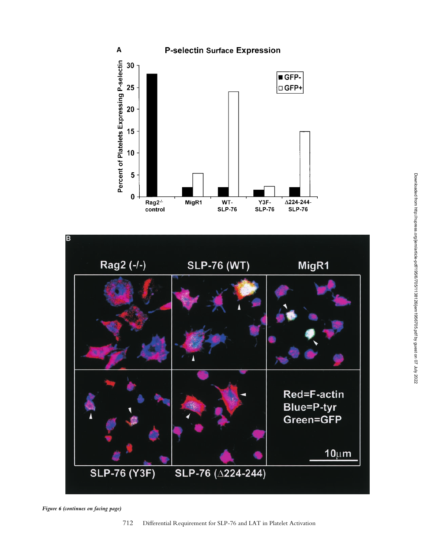



*Figure 6 (continues on facing page)*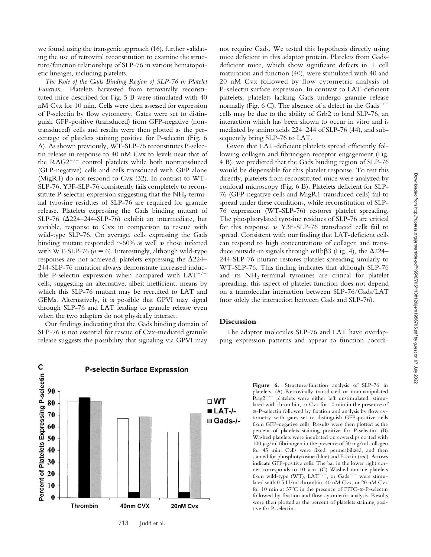we found using the transgenic approach (16), further validating the use of retroviral reconstitution to examine the structure/function relationships of SLP-76 in various hematopoietic lineages, including platelets.

*The Role of the Gads Binding Region of SLP-76 in Platelet Function.* Platelets harvested from retrovirally reconstituted mice described for Fig. 5 B were stimulated with 40 nM Cvx for 10 min. Cells were then assessed for expression of P-selectin by flow cytometry. Gates were set to distinguish GFP-positive (transduced) from GFP-negative (nontransduced) cells and results were then plotted as the percentage of platelets staining positive for P-selectin (Fig. 6 A). As shown previously, WT-SLP-76 reconstitutes P-selectin release in response to 40 nM Cvx to levels near that of the  $RAG2^{-/-}$  control platelets while both nontransduced (GFP-negative) cells and cells transduced with GFP alone (MigR1) do not respond to Cvx (32). In contrast to WT-SLP-76, Y3F-SLP-76 consistently fails completely to reconstitute P-selectin expression suggesting that the  $NH<sub>2</sub>$ -terminal tyrosine residues of SLP-76 are required for granule release. Platelets expressing the Gads binding mutant of SLP-76  $(\Delta 224 - 244 - SLP - 76)$  exhibit an intermediate, but variable, response to Cvx in comparison to rescue with wild-type SLP-76. On average, cells expressing the Gads binding mutant responded  $\sim$ 60% as well as those infected with WT-SLP-76 ( $n = 6$ ). Interestingly, although wild-type responses are not achieved, platelets expressing the  $\Delta 224-$ 244-SLP-76 mutation always demonstrate increased inducible P-selectin expression when compared with  $LAT^{-/-}$ cells, suggesting an alternative, albeit inefficient, means by which this SLP-76 mutant may be recruited to LAT and GEMs. Alternatively, it is possible that GPVI may signal through SLP-76 and LAT leading to granule release even when the two adapters do not physically interact.

Our findings indicating that the Gads binding domain of SLP-76 is not essential for rescue of Cvx-mediated granule release suggests the possibility that signaling via GPVI may

not require Gads. We tested this hypothesis directly using mice deficient in this adaptor protein. Platelets from Gadsdeficient mice, which show significant defects in T cell maturation and function (40), were stimulated with 40 and 20 nM Cvx followed by flow cytometric analysis of P-selectin surface expression. In contrast to LAT-deficient platelets, platelets lacking Gads undergo granule release normally (Fig. 6 C). The absence of a defect in the Gads<sup>-/-</sup> cells may be due to the ability of Grb2 to bind SLP-76, an interaction which has been shown to occur in vitro and is mediated by amino acids 224–244 of SLP-76 (44), and subsequently bring SLP-76 to LAT.

Given that LAT-deficient platelets spread efficiently following collagen and fibrinogen receptor engagement (Fig. 4 B), we predicted that the Gads binding region of SLP-76 would be dispensable for this platelet response. To test this directly, platelets from reconstituted mice were analyzed by confocal microscopy (Fig. 6 B). Platelets deficient for SLP-76 (GFP-negative cells and MigR1-transduced cells) fail to spread under these conditions, while reconstitution of SLP-76 expression (WT-SLP-76) restores platelet spreading. The phosphorylated tyrosine residues of SLP-76 are critical for this response as Y3F-SLP-76 transduced cells fail to spread. Consistent with our finding that LAT-deficient cells can respond to high concentrations of collagen and transduce outside-in signals through  $\alpha$ IIb $\beta$ 3 (Fig. 4), the  $\Delta$ 224– 244-SLP-76 mutant restores platelet spreading similarly to WT-SLP-76. This finding indicates that although SLP-76 and its NH<sub>2</sub>-terminal tyrosines are critical for platelet spreading, this aspect of platelet function does not depend on a trimolecular interaction between SLP-76/Gads/LAT (nor solely the interaction between Gads and SLP-76).

# **Discussion**

The adaptor molecules SLP-76 and LAT have overlapping expression patterns and appear to function coordi-



713 Judd et al.

**Figure 6.** Structure/function analysis of SLP-76 in platelets. (A) Retrovirally transduced or nonmanipulated Rag2<sup>-/-</sup> platelets were either left unstimulated, stimulated with thrombin, or Cvx for 10 min in the presence of --P-selectin followed by fixation and analysis by flow cytometry with gates set to distinguish GFP-positive cells from GFP-negative cells. Results were then plotted as the percent of platelets staining positive for P-selectin. (B) Washed platelets were incubated on coverslips coated with 100  $\mu$ g/ml fibrinogen in the presence of 30 mg/ml collagen for 45 min. Cells were fixed, permeabilized, and then stained for phosphotyrosine (blue) and F-actin (red). Arrows indicate GFP-positive cells. The bar in the lower right corner corresponds to 10  $\mu$ m. (C) Washed murine platelets from wild-type (WT),  $LAT^{-/-}$ , or  $Gads^{-/-}$  were stimulated with 0.5 U/ml thrombin, 40 nM Cvx, or 20 nM Cvx for 10 min at  $37^{\circ}$ C in the presence of FITC- $\alpha$ -P-selectin followed by fixation and flow cytometric analysis. Results were then plotted as the percent of platelets staining positive for P-selectin.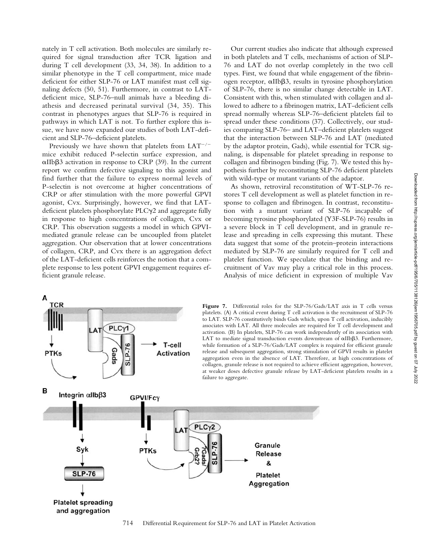nately in T cell activation. Both molecules are similarly required for signal transduction after TCR ligation and during T cell development (33, 34, 38). In addition to a similar phenotype in the T cell compartment, mice made deficient for either SLP-76 or LAT manifest mast cell signaling defects (50, 51). Furthermore, in contrast to LATdeficient mice, SLP-76–null animals have a bleeding diathesis and decreased perinatal survival (34, 35). This contrast in phenotypes argues that SLP-76 is required in pathways in which LAT is not. To further explore this issue, we have now expanded our studies of both LAT-deficient and SLP-76–deficient platelets.

Previously we have shown that platelets from  $LAT^{-/-}$ mice exhibit reduced P-selectin surface expression, and αIIbβ3 activation in response to CRP (39). In the current report we confirm defective signaling to this agonist and find further that the failure to express normal levels of P-selectin is not overcome at higher concentrations of CRP or after stimulation with the more powerful GPVI agonist, Cvx. Surprisingly, however, we find that LATdeficient platelets phosphorylate  $PLC\gamma2$  and aggregate fully in response to high concentrations of collagen, Cvx or CRP. This observation suggests a model in which GPVImediated granule release can be uncoupled from platelet aggregation. Our observation that at lower concentrations of collagen, CRP, and Cvx there is an aggregation defect of the LAT-deficient cells reinforces the notion that a complete response to less potent GPVI engagement requires efficient granule release.

Our current studies also indicate that although expressed in both platelets and T cells, mechanisms of action of SLP-76 and LAT do not overlap completely in the two cell types. First, we found that while engagement of the fibrinogen receptor,  $\alpha$ IIb $\beta$ 3, results in tyrosine phosphorylation of SLP-76, there is no similar change detectable in LAT. Consistent with this, when stimulated with collagen and allowed to adhere to a fibrinogen matrix, LAT-deficient cells spread normally whereas SLP-76–deficient platelets fail to spread under these conditions (37). Collectively, our studies comparing SLP-76– and LAT–deficient platelets suggest that the interaction between SLP-76 and LAT (mediated by the adaptor protein, Gads), while essential for TCR signaling, is dispensable for platelet spreading in response to collagen and fibrinogen binding (Fig. 7). We tested this hypothesis further by reconstituting SLP-76 deficient platelets with wild-type or mutant variants of the adaptor.

As shown, retroviral reconstitution of WT-SLP-76 restores T cell development as well as platelet function in response to collagen and fibrinogen. In contrast, reconstitution with a mutant variant of SLP-76 incapable of becoming tyrosine phosphorylated (Y3F-SLP-76) results in a severe block in T cell development, and in granule release and spreading in cells expressing this mutant. These data suggest that some of the protein–protein interactions mediated by SLP-76 are similarly required for T cell and platelet function. We speculate that the binding and recruitment of Vav may play a critical role in this process. Analysis of mice deficient in expression of multiple Vav



714 Differential Requirement for SLP-76 and LAT in Platelet Activation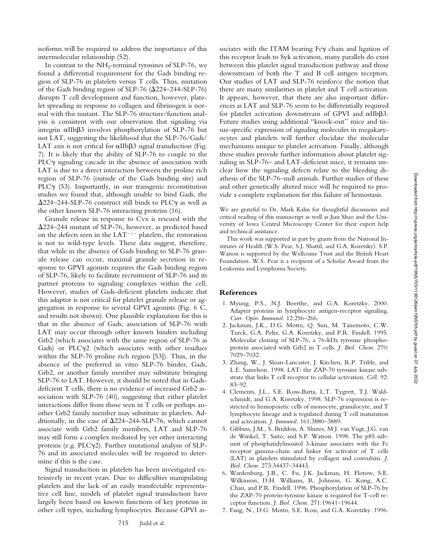isoforms will be required to address the importance of this intermolecular relationship (52).

In contrast to the  $NH_2$ -terminal tyrosines of SLP-76, we found a differential requirement for the Gads binding region of SLP-76 in platelets versus T cells. Thus, mutation of the Gads binding region of SLP-76  $(\Delta 224 - 244 - SLP - 76)$ disrupts T cell development and function, however, platelet spreading in response to collagen and fibrinogen is normal with this mutant. The SLP-76 structure/function analysis is consistent with our observation that signaling via integrin  $\alpha$ IIb $\beta$ 3 involves phosphorylation of SLP-76 but not LAT, suggesting the likelihood that the SLP-76/Gads/ LAT axis is not critical for  $\alpha$ IIb $\beta$ 3 signal transduction (Fig. 7). It is likely that the ability of SLP-76 to couple to the PLC $\gamma$  signaling cascade in the absence of association with LAT is due to a direct interaction between the proline rich region of SLP-76 (outside of the Gads binding site) and PLC $\gamma$  (53). Importantly, in our transgenic reconstitution studies we found that, although unable to bind Gads, the  $\Delta$ 224–244-SLP-76 construct still binds to PLC $\gamma$  as well as the other known SLP-76 interacting proteins (16).

Granule release in response to Cvx is rescued with the 224–244 mutant of SLP-76, however, as predicted based on the defects seen in the  $LAT^{-/-}$  platelets, the restoration is not to wild-type levels. These data suggest, therefore, that while in the absence of Gads binding to SLP-76 granule release can occur, maximal granule secretion in response to GPVI agonists requires the Gads binding region of SLP-76, likely to facilitate recruitment of SLP-76 and its partner proteins to signaling complexes within the cell. However, studies of Gads-deficient platelets indicate that this adaptor is not critical for platelet granule release or aggregation in response to several GPVI agonists (Fig. 6 C, and results not shown). One plausible explanation for this is that in the absence of Gads, association of SLP-76 with LAT may occur through other known binders including Grb2 (which associates with the same region of SLP-76 as Gads) or  $PLC\gamma2$  (which associates with other residues within the SLP-76 proline rich region [53]). Thus, in the absence of the preferred in vitro SLP-76 binder, Gads, Grb2, or another family member may substitute bringing SLP-76 to LAT. However, it should be noted that in Gadsdeficient T cells, there is no evidence of increased Grb2 association with SLP-76 (40), suggesting that either platelet interactions differ from those seen in T cells or perhaps another Grb2 family member may substitute in platelets. Additionally, in the case of  $\Delta$ 224–244-SLP-76, which cannot associate with Grb2 family members, LAT and SLP-76 may still form a complex mediated by yet other interacting proteins (e.g.  $PLC\gamma2$ ). Further mutational analysis of SLP-76 and its associated molecules will be required to determine if this is the case.

Signal transduction in platelets has been investigated extensively in recent years. Due to difficulties manipulating platelets and the lack of an easily transfectable representative cell line, models of platelet signal transduction have largely been based on known functions of key proteins in other cell types, including lymphocytes. Because GPVI associates with the ITAM bearing  $Fc\gamma$  chain and ligation of this receptor leads to Syk activation, many parallels do exist between this platelet signal transduction pathway and those downstream of both the T and B cell antigen receptors. Our studies of LAT and SLP-76 reinforce the notion that there are many similarities in platelet and T cell activation. It appears, however, that there are also important differences as LAT and SLP-76 seem to be differentially required for platelet activation downstream of GPVI and  $\alpha$ IIb $\beta$ 3. Future studies using additional "knock-out" mice and tissue-specific expression of signaling molecules in megakaryocytes and platelets will further elucidate the molecular mechanisms unique to platelet activation. Finally, although these studies provide further information about platelet signaling in SLP-76– and LAT-deficient mice, it remains unclear how the signaling defects relate to the bleeding diathesis of the SLP-76–null animals. Further studies of these and other genetically altered mice will be required to provide a complete explanation for this failure of hemostasis.

We are grateful to Dr. Mark Kahn for thoughtful discussions and critical reading of this manuscript as well as Jian Shao and the University of Iowa Central Microscopy Center for their expert help and technical assistance.

This work was supported in part by grants from the National Institutes of Health (W.S. Pear, S.J. Shattil, and G.A. Koretsky). S.P. Watson is supported by the Wellcome Trust and the British Heart Foundation. W.S. Pear is a recipient of a Scholar Award from the Leukemia and Lymphoma Society.

#### **References**

- 1. Myung, P.S., N.J. Boerthe, and G.A. Koretzky. 2000. Adapter proteins in lymphocyte antigen-receptor signaling. *Curr. Opin. Immunol.* 12:256–266.
- 2. Jackman, J.K., D.G. Motto, Q. Sun, M. Tanemoto, C.W. Turck, G.A. Peltz, G.A. Koretzky, and P.R. Findell. 1995. Molecular cloning of SLP-76, a 76-kDa tyrosine phosphoprotein associated with Grb2 in T cells. *J. Biol. Chem.* 270: 7029–7032.
- 3. Zhang, W., J. Sloan-Lancaster, J. Kitchen, R.P. Trible, and L.E. Samelson. 1998. LAT: the ZAP-70 tyrosine kinase substrate that links T cell receptor to cellular activation. *Cell.* 92: 83–92.
- 4. Clements, J.L., S.E. Ross-Barta, L.T. Tygrett, T.J. Waldschmidt, and G.A. Koretzky. 1998. SLP-76 expression is restricted to hemopoietic cells of monocyte, granulocyte, and T lymphocyte lineage and is regulated during T cell maturation and activation. *J. Immunol.* 161:3880–3889.
- 5. Gibbins, J.M., S. Briddon, A. Shutes, M.J. van Vugt, J.G. van de Winkel, T. Saito, and S.P. Watson. 1998. The p85 subunit of phosphatidylinositol 3-kinase associates with the Fc receptor gamma-chain and linker for activator of T cells (LAT) in platelets stimulated by collagen and convulxin. *J. Biol. Chem.* 273:34437–34443.
- 6. Wardenburg, J.B., C. Fu, J.K. Jackman, H. Flotow, S.E. Wilkinson, D.H. Williams, R. Johnson, G. Kong, A.C. Chan, and P.R. Findell. 1996. Phosphorylation of SLP-76 by the ZAP-70 protein-tyrosine kinase is required for T-cell receptor function. *J. Biol. Chem.* 271:19641–19644.
- 7. Fang, N., D.G. Motto, S.E. Ross, and G.A. Koretzky. 1996.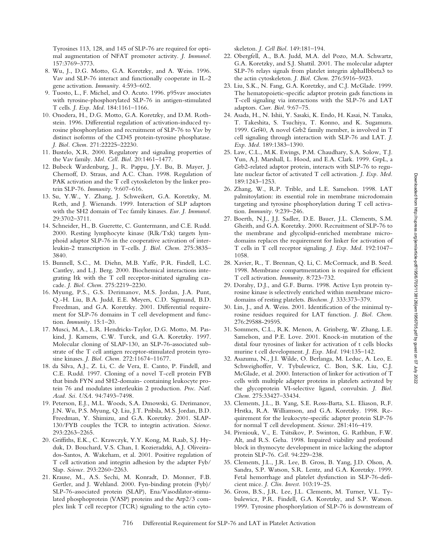Tyrosines 113, 128, and 145 of SLP-76 are required for optimal augmentation of NFAT promoter activity. *J. Immunol.* 157:3769–3773.

- 8. Wu, J., D.G. Motto, G.A. Koretzky, and A. Weiss. 1996. Vav and SLP-76 interact and functionally cooperate in IL-2 gene activation. *Immunity.* 4:593–602.
- 9. Tuosto, L., F. Michel, and O. Acuto. 1996. p95vav associates with tyrosine-phosphorylated SLP-76 in antigen-stimulated T cells. *J. Exp. Med.* 184:1161–1166.
- 10. Onodera, H., D.G. Motto, G.A. Koretzky, and D.M. Rothstein. 1996. Differential regulation of activation-induced tyrosine phosphorylation and recruitment of SLP-76 to Vav by distinct isoforms of the CD45 protein-tyrosine phosphatase. *J. Biol. Chem.* 271:22225–22230.
- 11. Bustelo, X.R. 2000. Regulatory and signaling properties of the Vav family. *Mol. Cell. Biol.* 20:1461–1477.
- 12. Bubeck Wardenburg, J., R. Pappu, J.Y. Bu, B. Mayer, J. Chernoff, D. Straus, and A.C. Chan. 1998. Regulation of PAK activation and the T cell cytoskeleton by the linker protein SLP-76. *Immunity.* 9:607–616.
- 13. Su, Y.W., Y. Zhang, J. Schweikert, G.A. Koretzky, M. Reth, and J. Wienands. 1999. Interaction of SLP adaptors with the SH2 domain of Tec family kinases. *Eur. J. Immunol.* 29:3702–3711.
- 14. Schneider, H., B. Guerette, C. Guntermann, and C.E. Rudd. 2000. Resting lymphocyte kinase (Rlk/Txk) targets lymphoid adaptor SLP-76 in the cooperative activation of interleukin-2 transcription in T-cells. *J. Biol. Chem.* 275:3835– 3840.
- 15. Bunnell, S.C., M. Diehn, M.B. Yaffe, P.R. Findell, L.C. Cantley, and L.J. Berg. 2000. Biochemical interactions integrating Itk with the T cell receptor-initiated signaling cascade. *J. Biol. Chem.* 275:2219–2230.
- 16. Myung, P.S., G.S. Derimanov, M.S. Jordan, J.A. Punt, Q.-H. Liu, B.A. Judd, E.E. Meyers, C.D. Sigmund, B.D. Freedman, and G.A. Koretzky. 2001. Differential requirement for SLP-76 domains in T cell development and function. *Immunity.* 15:1–20.
- 17. Musci, M.A., L.R. Hendricks-Taylor, D.G. Motto, M. Paskind, J. Kamens, C.W. Turck, and G.A. Koretzky. 1997. Molecular cloning of SLAP-130, an SLP-76-associated substrate of the T cell antigen receptor-stimulated protein tyrosine kinases. *J. Biol. Chem.* 272:11674–11677.
- 18. da Silva, A.J., Z. Li, C. de Vera, E. Canto, P. Findell, and C.E. Rudd. 1997. Cloning of a novel T-cell protein FYB that binds FYN and SH2-domain- containing leukocyte protein 76 and modulates interleukin 2 production. *Proc. Natl. Acad. Sci. USA.* 94:7493–7498.
- 19. Peterson, E.J., M.L. Woods, S.A. Dmowski, G. Derimanov, J.N. Wu, P.S. Myung, Q. Liu, J.T. Pribila, M.S. Jordan, B.D. Freedman, Y. Shimizu, and G.A. Koretzky. 2001. SLAP-130/FYB couples the TCR to integrin activation. *Science.* 293:2263–2265.
- 20. Griffiths, E.K., C. Krawczyk, Y.Y. Kong, M. Raab, S.J. Hyduk, D. Bouchard, V.S. Chan, I. Kozieradzki, A.J. Oliveirados-Santos, A. Wakeham, et al. 2001. Positive regulation of T cell activation and integrin adhesion by the adapter Fyb/ Slap. *Science.* 293:2260–2263.
- 21. Krause, M., A.S. Sechi, M. Konradt, D. Monner, F.B. Gertler, and J. Wehland. 2000. Fyn-binding protein (Fyb)/ SLP-76-associated protein (SLAP), Ena/Vasodilator-stimulated phosphoprotein (VASP) proteins and the Arp2/3 complex link T cell receptor (TCR) signaling to the actin cyto-

skeleton. *J. Cell Biol.* 149:181–194.

- 22. Obergfell, A., B.A. Judd, M.A. del Pozo, M.A. Schwartz, G.A. Koretzky, and S.J. Shattil. 2001. The molecular adapter SLP-76 relays signals from platelet integrin alphaIIbbeta3 to the actin cytoskeleton. *J. Biol. Chem.* 276:5916–5923.
- 23. Liu, S.K., N. Fang, G.A. Koretzky, and C.J. McGlade. 1999. The hematopoietic-specific adaptor protein gads functions in T-cell signaling via interactions with the SLP-76 and LAT adaptors. *Curr. Biol.* 9:67–75.
- 24. Asada, H., N. Ishii, Y. Sasaki, K. Endo, H. Kasai, N. Tanaka, T. Takeshita, S. Tsuchiya, T. Konno, and K. Sugamura. 1999. Grf40, A novel Grb2 family member, is involved in T cell signaling through interaction with SLP-76 and LAT. *J. Exp. Med.* 189:1383–1390.
- 25. Law, C.L., M.K. Ewings, P.M. Chaudhary, S.A. Solow, T.J. Yun, A.J. Marshall, L. Hood, and E.A. Clark. 1999. GrpL, a Grb2-related adaptor protein, interacts with SLP-76 to regulate nuclear factor of activated T cell activation. *J. Exp. Med.* 189:1243–1253.
- 26. Zhang, W., R.P. Trible, and L.E. Samelson. 1998. LAT palmitoylation: its essential role in membrane microdomain targeting and tyrosine phosphorylation during T cell activation. *Immunity.* 9:239–246.
- 27. Boerth, N.J., J.J. Sadler, D.E. Bauer, J.L. Clements, S.M. Gheith, and G.A. Koretzky. 2000. Recruitment of SLP-76 to the membrane and glycolipid-enriched membrane microdomains replaces the requirement for linker for activation of T cells in T cell receptor signaling. *J. Exp. Med.* 192:1047– 1058.
- 28. Xavier, R., T. Brennan, Q. Li, C. McCormack, and B. Seed. 1998. Membrane compartmentation is required for efficient T cell activation. *Immunity.* 8:723–732.
- 29. Dorahy, D.J., and G.F. Burns. 1998. Active Lyn protein tyrosine kinase is selectively enriched within membrane microdomains of resting platelets. *Biochem. J.* 333:373–379.
- 30. Lin, J., and A. Weiss. 2001. Identification of the minimal tyrosine residues required for LAT function. *J. Biol. Chem.* 276:29588-29595.
- 31. Sommers, C.L., R.K. Menon, A. Grinberg, W. Zhang, L.E. Samelson, and P.E. Love. 2001. Knock-in mutation of the distal four tyrosines of linker for activation of t cells blocks murine t cell development. *J. Exp. Med.* 194:135–142.
- 32. Asazuma, N., J.I. Wilde, O. Berlanga, M. Leduc, A. Leo, E. Schweighoffer, V. Tybulewicz, C. Bon, S.K. Liu, C.J. McGlade, et al. 2000. Interaction of linker for activation of T cells with multiple adapter proteins in platelets activated by the glycoprotein VI-selective ligand, convulxin. *J. Biol. Chem.* 275:33427–33434.
- 33. Clements, J.L., B. Yang, S.E. Ross-Barta, S.L. Eliason, R.F. Hrstka, R.A. Williamson, and G.A. Koretzky. 1998. Requirement for the leukocyte-specific adapter protein SLP-76 for normal T cell development. *Science.* 281:416–419.
- 34. Pivniouk, V., E. Tsitsikov, P. Swinton, G. Rathbun, F.W. Alt, and R.S. Geha. 1998. Impaired viability and profound block in thymocyte development in mice lacking the adaptor protein SLP-76. *Cell.* 94:229–238.
- 35. Clements, J.L., J.R. Lee, B. Gross, B. Yang, J.D. Olson, A. Sandra, S.P. Watson, S.R. Lentz, and G.A. Koretzky. 1999. Fetal hemorrhage and platelet dysfunction in SLP-76-deficient mice. *J. Clin. Invest.* 103:19–25.
- 36. Gross, B.S., J.R. Lee, J.L. Clements, M. Turner, V.L. Tybulewicz, P.R. Findell, G.A. Koretzky, and S.P. Watson. 1999. Tyrosine phosphorylation of SLP-76 is downstream of